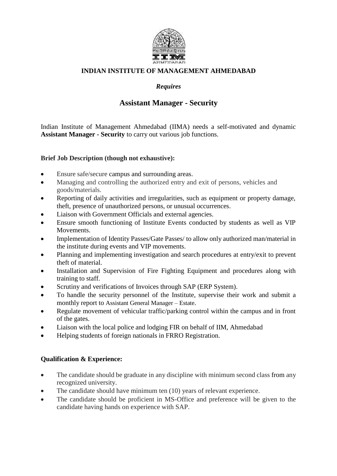

## **INDIAN INSTITUTE OF MANAGEMENT AHMEDABAD**

# *Requires*

# **Assistant Manager - Security**

Indian Institute of Management Ahmedabad (IIMA) needs a self-motivated and dynamic **Assistant Manager - Security** to carry out various job functions.

#### **Brief Job Description (though not exhaustive):**

- Ensure safe/secure campus and surrounding areas.
- Managing and controlling the authorized entry and exit of persons, vehicles and goods/materials.
- Reporting of daily activities and irregularities, such as equipment or property damage, theft, presence of unauthorized persons, or unusual occurrences.
- Liaison with Government Officials and external agencies.
- Ensure smooth functioning of Institute Events conducted by students as well as VIP Movements.
- Implementation of Identity Passes/Gate Passes/ to allow only authorized man/material in the institute during events and VIP movements.
- Planning and implementing investigation and search procedures at entry/exit to prevent theft of material.
- Installation and Supervision of Fire Fighting Equipment and procedures along with training to staff.
- Scrutiny and verifications of Invoices through SAP (ERP System).
- To handle the security personnel of the Institute, supervise their work and submit a monthly report to Assistant General Manager – Estate.
- Regulate movement of vehicular traffic/parking control within the campus and in front of the gates.
- Liaison with the local police and lodging FIR on behalf of IIM, Ahmedabad
- Helping students of foreign nationals in FRRO Registration.

## **Qualification & Experience:**

- The candidate should be graduate in any discipline with minimum second class from any recognized university.
- The candidate should have minimum ten (10) years of relevant experience.
- The candidate should be proficient in MS-Office and preference will be given to the candidate having hands on experience with SAP.